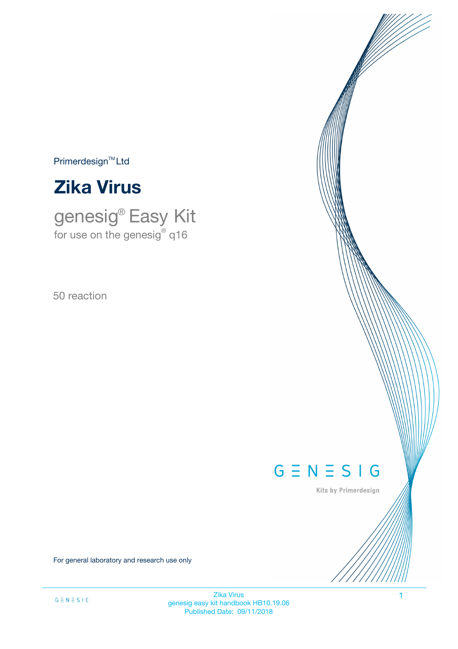$Primerdesign^{TM}Ltd$ 



genesig® Easy Kit for use on the genesig $^\circ$  q16

50 reaction

# $G \equiv N \equiv S \mid G$

Kits by Primerdesign

For general laboratory and research use only

Zika Virus 1 genesig easy kit handbook HB10.19.06 Published Date: 09/11/2018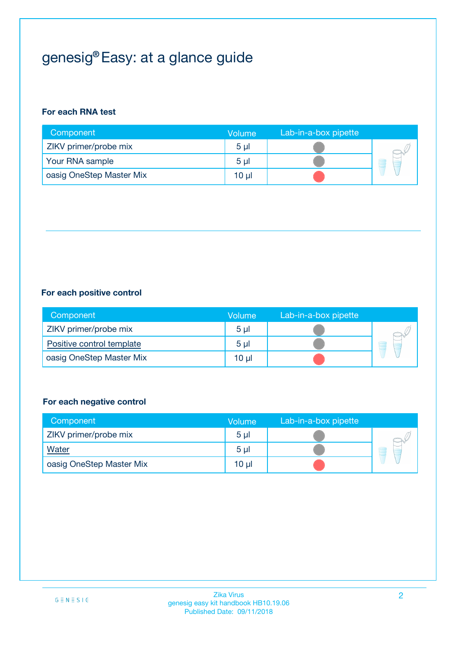# genesig® Easy: at a glance guide

#### **For each RNA test**

| Component                | <b>Volume</b>  | Lab-in-a-box pipette |  |
|--------------------------|----------------|----------------------|--|
| ZIKV primer/probe mix    | 5 <sub>µ</sub> |                      |  |
| Your RNA sample          | 5 <sub>µ</sub> |                      |  |
| oasig OneStep Master Mix | 10 µl          |                      |  |

#### **For each positive control**

| Component                 | Volume         | Lab-in-a-box pipette |  |
|---------------------------|----------------|----------------------|--|
| ZIKV primer/probe mix     | 5 <sub>µ</sub> |                      |  |
| Positive control template | 5 <sub>µ</sub> |                      |  |
| oasig OneStep Master Mix  | 10 µl          |                      |  |

#### **For each negative control**

| Component                | Volume         | Lab-in-a-box pipette |   |
|--------------------------|----------------|----------------------|---|
| ZIKV primer/probe mix    | 5 <sub>µ</sub> |                      |   |
| Water                    | 5 <sub>µ</sub> |                      | - |
| oasig OneStep Master Mix | 10 µl          |                      |   |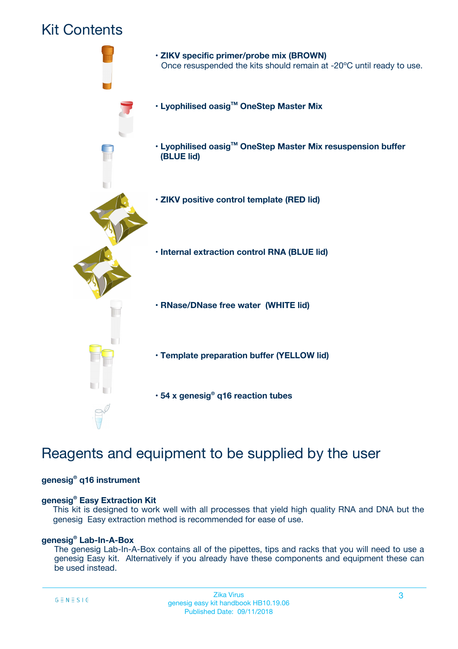## Kit Contents



## Reagents and equipment to be supplied by the user

#### **genesig® q16 instrument**

#### **genesig® Easy Extraction Kit**

This kit is designed to work well with all processes that yield high quality RNA and DNA but the genesig Easy extraction method is recommended for ease of use.

#### **genesig® Lab-In-A-Box**

The genesig Lab-In-A-Box contains all of the pipettes, tips and racks that you will need to use a genesig Easy kit. Alternatively if you already have these components and equipment these can be used instead.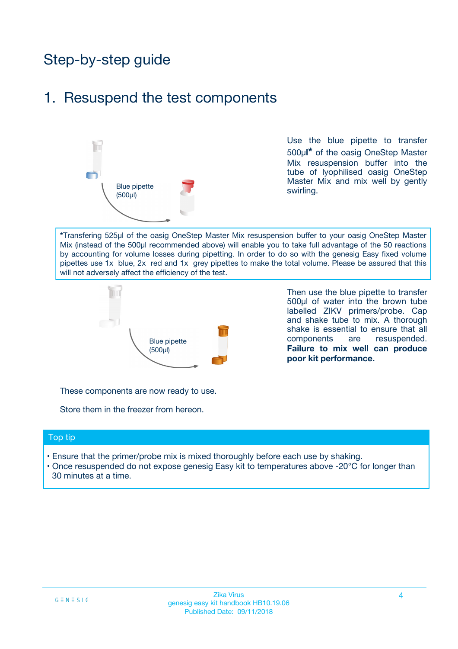## Step-by-step guide

### 1. Resuspend the test components



Use the blue pipette to transfer 500µ**l\*** of the oasig OneStep Master Mix resuspension buffer into the tube of lyophilised oasig OneStep Master Mix and mix well by gently swirling.

**\***Transfering 525µl of the oasig OneStep Master Mix resuspension buffer to your oasig OneStep Master Mix (instead of the 500µl recommended above) will enable you to take full advantage of the 50 reactions by accounting for volume losses during pipetting. In order to do so with the genesig Easy fixed volume pipettes use 1x blue, 2x red and 1x grey pipettes to make the total volume. Please be assured that this will not adversely affect the efficiency of the test.



Then use the blue pipette to transfer 500µl of water into the brown tube labelled ZIKV primers/probe. Cap and shake tube to mix. A thorough shake is essential to ensure that all components are resuspended. **Failure to mix well can produce poor kit performance.**

These components are now ready to use.

Store them in the freezer from hereon.

#### Top tip

- Ensure that the primer/probe mix is mixed thoroughly before each use by shaking.
- Once resuspended do not expose genesig Easy kit to temperatures above -20°C for longer than 30 minutes at a time.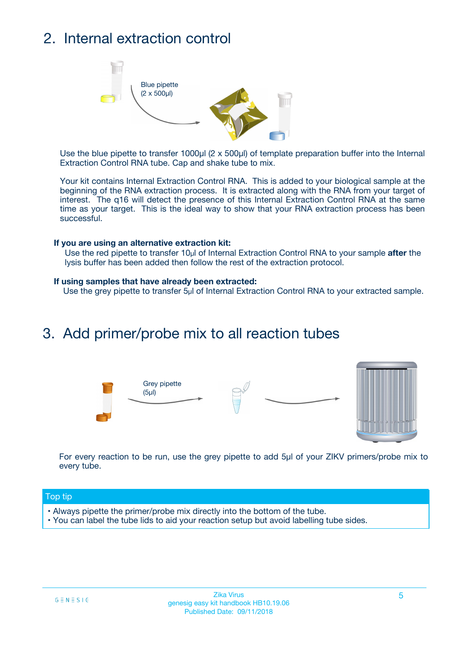## 2. Internal extraction control



Use the blue pipette to transfer 1000µl (2 x 500µl) of template preparation buffer into the Internal Extraction Control RNA tube. Cap and shake tube to mix.

Your kit contains Internal Extraction Control RNA. This is added to your biological sample at the beginning of the RNA extraction process. It is extracted along with the RNA from your target of interest. The q16 will detect the presence of this Internal Extraction Control RNA at the same time as your target. This is the ideal way to show that your RNA extraction process has been successful.

#### **If you are using an alternative extraction kit:**

Use the red pipette to transfer 10µl of Internal Extraction Control RNA to your sample **after** the lysis buffer has been added then follow the rest of the extraction protocol.

#### **If using samples that have already been extracted:**

Use the grey pipette to transfer 5µl of Internal Extraction Control RNA to your extracted sample.

### 3. Add primer/probe mix to all reaction tubes





For every reaction to be run, use the grey pipette to add 5µl of your ZIKV primers/probe mix to every tube.

#### Top tip

- Always pipette the primer/probe mix directly into the bottom of the tube.
- You can label the tube lids to aid your reaction setup but avoid labelling tube sides.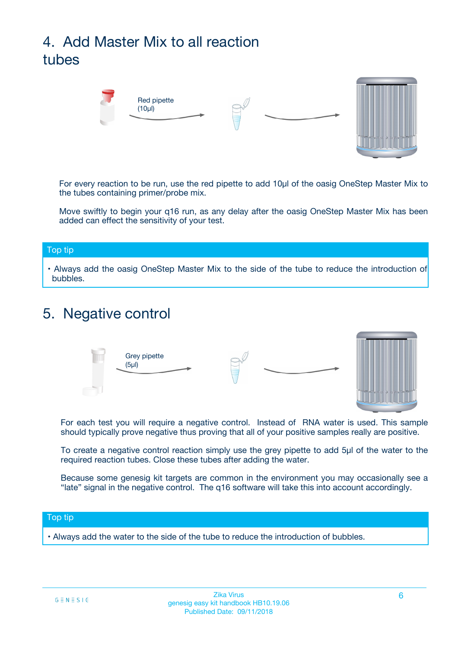# 4. Add Master Mix to all reaction tubes



For every reaction to be run, use the red pipette to add 10µl of the oasig OneStep Master Mix to the tubes containing primer/probe mix.

Move swiftly to begin your q16 run, as any delay after the oasig OneStep Master Mix has been added can effect the sensitivity of your test.

#### Top tip

**•** Always add the oasig OneStep Master Mix to the side of the tube to reduce the introduction of bubbles.

### 5. Negative control



For each test you will require a negative control. Instead of RNA water is used. This sample should typically prove negative thus proving that all of your positive samples really are positive.

To create a negative control reaction simply use the grey pipette to add 5µl of the water to the required reaction tubes. Close these tubes after adding the water.

Because some genesig kit targets are common in the environment you may occasionally see a "late" signal in the negative control. The q16 software will take this into account accordingly.

#### Top tip

**•** Always add the water to the side of the tube to reduce the introduction of bubbles.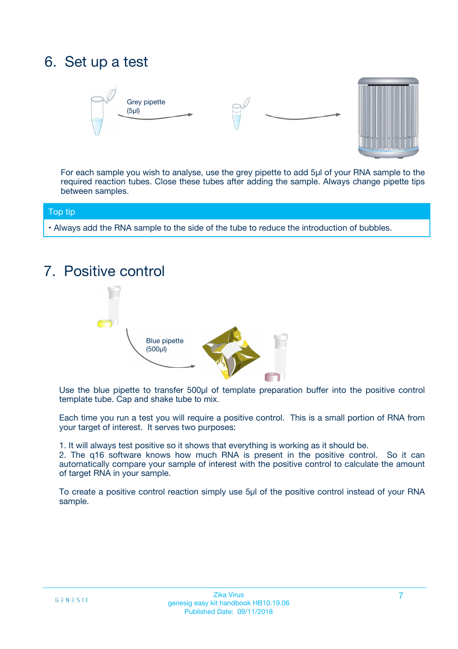## 6. Set up a test





For each sample you wish to analyse, use the grey pipette to add 5µl of your RNA sample to the required reaction tubes. Close these tubes after adding the sample. Always change pipette tips between samples.

#### Top tip

**•** Always add the RNA sample to the side of the tube to reduce the introduction of bubbles.

## 7. Positive control



Use the blue pipette to transfer 500µl of template preparation buffer into the positive control template tube. Cap and shake tube to mix.

Each time you run a test you will require a positive control. This is a small portion of RNA from your target of interest. It serves two purposes:

1. It will always test positive so it shows that everything is working as it should be.

2. The q16 software knows how much RNA is present in the positive control. So it can automatically compare your sample of interest with the positive control to calculate the amount of target RNA in your sample.

To create a positive control reaction simply use 5µl of the positive control instead of your RNA sample.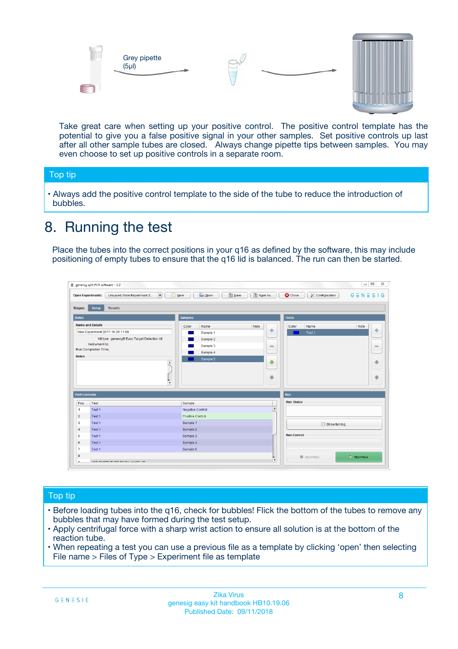



Take great care when setting up your positive control. The positive control template has the potential to give you a false positive signal in your other samples. Set positive controls up last after all other sample tubes are closed. Always change pipette tips between samples. You may even choose to set up positive controls in a separate room.

#### Top tip

**•** Always add the positive control template to the side of the tube to reduce the introduction of bubbles.

## 8. Running the test

Place the tubes into the correct positions in your q16 as defined by the software, this may include positioning of empty tubes to ensure that the q16 lid is balanced. The run can then be started.

|                      | genesig q16 PCR software - 1.2                                               |                                                | $= 0$<br>$\Sigma\!3$                                            |
|----------------------|------------------------------------------------------------------------------|------------------------------------------------|-----------------------------------------------------------------|
|                      | $\vert \cdot \vert$<br>Unsaved (New Experiment 2<br><b>Open Experiments:</b> | <b>E</b> Open<br>Save<br>Save As<br>$\Box$ New | <b>C</b> Close<br>$G \equiv N \equiv S \mid G$<br>Configuration |
| <b>Stages:</b>       | Setup<br><b>Results</b>                                                      |                                                |                                                                 |
| <b>Notes</b>         |                                                                              | <b>Samples</b>                                 | <b>Tests</b>                                                    |
|                      | <b>Name and Details</b>                                                      | Color<br>Note<br>Name                          | Name<br>Note<br>Color                                           |
|                      | New Experiment 2017-10-26 11:06                                              | على<br>Sample 1                                | $\ddot{\Phi}$<br>Test 1                                         |
|                      | Kit type: genesig® Easy Target Detection kit                                 | Sample 2                                       |                                                                 |
| Instrument Id.:      |                                                                              | Sample 3<br>$\equiv$                           | $\equiv$                                                        |
|                      | Run Completion Time:                                                         | Sample 4                                       |                                                                 |
| <b>Notes</b>         | $\blacktriangle$                                                             | Sample 5<br>♦                                  | 4                                                               |
|                      | $\overline{\mathbf{v}}$                                                      | ÷                                              | ⊕                                                               |
| <b>Well Contents</b> |                                                                              |                                                | Run                                                             |
| Pos.                 | Test                                                                         | Sample                                         | <b>Run Status</b>                                               |
| $\blacktriangleleft$ | Test 1                                                                       | $\blacktriangle$<br>Negative Control           |                                                                 |
| $\overline{2}$       | Test 1                                                                       | <b>Positive Control</b>                        |                                                                 |
| 3                    | Test 1                                                                       | Sample 1                                       | Show full log                                                   |
| $\overline{4}$       | Test 1                                                                       | Sample 2                                       |                                                                 |
| 5                    | Test 1                                                                       | Sample 3                                       | <b>Run Control</b>                                              |
| 6                    | Test 1                                                                       | Sample 4                                       |                                                                 |
| $\overline{7}$       | Test 1                                                                       | Sample 5                                       |                                                                 |
| 8                    |                                                                              |                                                | $\triangleright$ Start Run<br>Abort Run                         |
|                      | <b>INN FURTY TURE TO BUILDING UP.</b>                                        | $\pmb{\triangledown}$                          |                                                                 |

#### Top tip

- Before loading tubes into the q16, check for bubbles! Flick the bottom of the tubes to remove any bubbles that may have formed during the test setup.
- Apply centrifugal force with a sharp wrist action to ensure all solution is at the bottom of the reaction tube.
- When repeating a test you can use a previous file as a template by clicking 'open' then selecting File name > Files of Type > Experiment file as template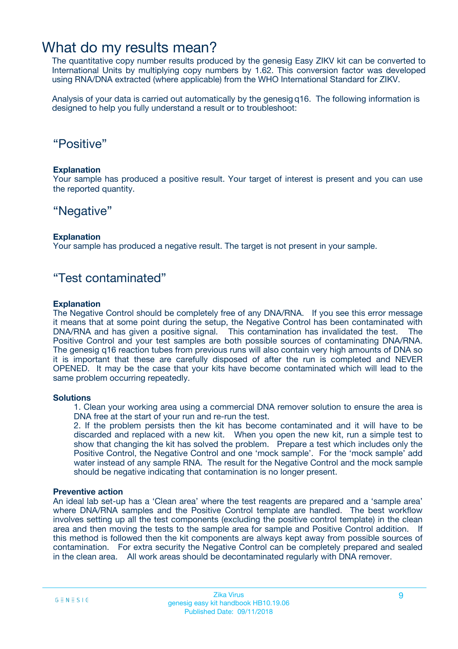### What do my results mean?

The quantitative copy number results produced by the genesig Easy ZIKV kit can be converted to International Units by multiplying copy numbers by 1.62. This conversion factor was developed using RNA/DNA extracted (where applicable) from the WHO International Standard for ZIKV.

Analysis of your data is carried out automatically by the genesig q16. The following information is designed to help you fully understand a result or to troubleshoot:

### "Positive"

#### **Explanation**

Your sample has produced a positive result. Your target of interest is present and you can use the reported quantity.

### "Negative"

#### **Explanation**

Your sample has produced a negative result. The target is not present in your sample.

### "Test contaminated"

#### **Explanation**

The Negative Control should be completely free of any DNA/RNA. If you see this error message it means that at some point during the setup, the Negative Control has been contaminated with DNA/RNA and has given a positive signal. This contamination has invalidated the test. The Positive Control and your test samples are both possible sources of contaminating DNA/RNA. The genesig q16 reaction tubes from previous runs will also contain very high amounts of DNA so it is important that these are carefully disposed of after the run is completed and NEVER OPENED. It may be the case that your kits have become contaminated which will lead to the same problem occurring repeatedly.

#### **Solutions**

1. Clean your working area using a commercial DNA remover solution to ensure the area is DNA free at the start of your run and re-run the test.

2. If the problem persists then the kit has become contaminated and it will have to be discarded and replaced with a new kit. When you open the new kit, run a simple test to show that changing the kit has solved the problem. Prepare a test which includes only the Positive Control, the Negative Control and one 'mock sample'. For the 'mock sample' add water instead of any sample RNA. The result for the Negative Control and the mock sample should be negative indicating that contamination is no longer present.

#### **Preventive action**

An ideal lab set-up has a 'Clean area' where the test reagents are prepared and a 'sample area' where DNA/RNA samples and the Positive Control template are handled. The best workflow involves setting up all the test components (excluding the positive control template) in the clean area and then moving the tests to the sample area for sample and Positive Control addition. If this method is followed then the kit components are always kept away from possible sources of contamination. For extra security the Negative Control can be completely prepared and sealed in the clean area. All work areas should be decontaminated regularly with DNA remover.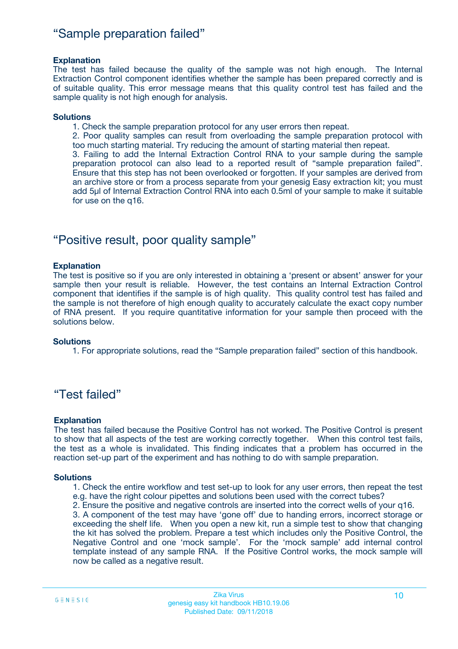### "Sample preparation failed"

#### **Explanation**

The test has failed because the quality of the sample was not high enough. The Internal Extraction Control component identifies whether the sample has been prepared correctly and is of suitable quality. This error message means that this quality control test has failed and the sample quality is not high enough for analysis.

#### **Solutions**

1. Check the sample preparation protocol for any user errors then repeat.

2. Poor quality samples can result from overloading the sample preparation protocol with too much starting material. Try reducing the amount of starting material then repeat.

3. Failing to add the Internal Extraction Control RNA to your sample during the sample preparation protocol can also lead to a reported result of "sample preparation failed". Ensure that this step has not been overlooked or forgotten. If your samples are derived from an archive store or from a process separate from your genesig Easy extraction kit; you must add 5µl of Internal Extraction Control RNA into each 0.5ml of your sample to make it suitable for use on the q16.

### "Positive result, poor quality sample"

#### **Explanation**

The test is positive so if you are only interested in obtaining a 'present or absent' answer for your sample then your result is reliable. However, the test contains an Internal Extraction Control component that identifies if the sample is of high quality. This quality control test has failed and the sample is not therefore of high enough quality to accurately calculate the exact copy number of RNA present. If you require quantitative information for your sample then proceed with the solutions below.

#### **Solutions**

1. For appropriate solutions, read the "Sample preparation failed" section of this handbook.

### "Test failed"

#### **Explanation**

The test has failed because the Positive Control has not worked. The Positive Control is present to show that all aspects of the test are working correctly together. When this control test fails, the test as a whole is invalidated. This finding indicates that a problem has occurred in the reaction set-up part of the experiment and has nothing to do with sample preparation.

#### **Solutions**

1. Check the entire workflow and test set-up to look for any user errors, then repeat the test e.g. have the right colour pipettes and solutions been used with the correct tubes?

2. Ensure the positive and negative controls are inserted into the correct wells of your q16.

3. A component of the test may have 'gone off' due to handing errors, incorrect storage or exceeding the shelf life. When you open a new kit, run a simple test to show that changing the kit has solved the problem. Prepare a test which includes only the Positive Control, the Negative Control and one 'mock sample'. For the 'mock sample' add internal control template instead of any sample RNA. If the Positive Control works, the mock sample will now be called as a negative result.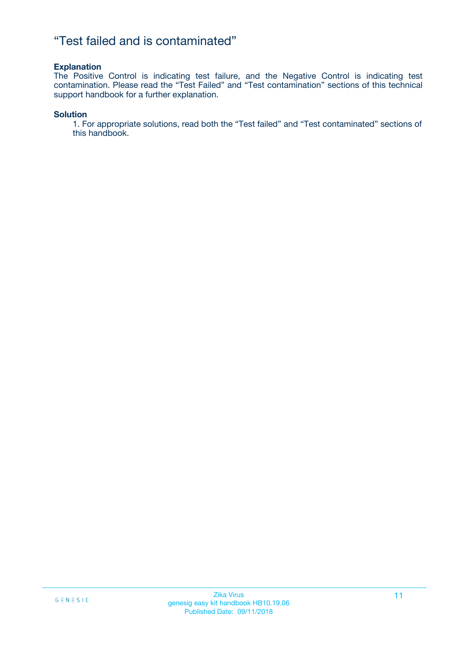### "Test failed and is contaminated"

#### **Explanation**

The Positive Control is indicating test failure, and the Negative Control is indicating test contamination. Please read the "Test Failed" and "Test contamination" sections of this technical support handbook for a further explanation.

#### **Solution**

1. For appropriate solutions, read both the "Test failed" and "Test contaminated" sections of this handbook.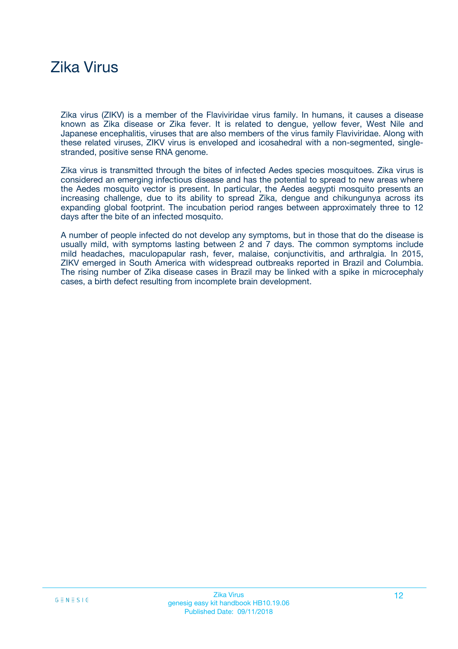## Zika Virus

Zika virus (ZIKV) is a member of the Flaviviridae virus family. In humans, it causes a disease known as Zika disease or Zika fever. It is related to dengue, yellow fever, West Nile and Japanese encephalitis, viruses that are also members of the virus family Flaviviridae. Along with these related viruses, ZIKV virus is enveloped and icosahedral with a non-segmented, singlestranded, positive sense RNA genome.

Zika virus is transmitted through the bites of infected Aedes species mosquitoes. Zika virus is considered an emerging infectious disease and has the potential to spread to new areas where the Aedes mosquito vector is present. In particular, the Aedes aegypti mosquito presents an increasing challenge, due to its ability to spread Zika, dengue and chikungunya across its expanding global footprint. The incubation period ranges between approximately three to 12 days after the bite of an infected mosquito.

A number of people infected do not develop any symptoms, but in those that do the disease is usually mild, with symptoms lasting between 2 and 7 days. The common symptoms include mild headaches, maculopapular rash, fever, malaise, conjunctivitis, and arthralgia. In 2015, ZIKV emerged in South America with widespread outbreaks reported in Brazil and Columbia. The rising number of Zika disease cases in Brazil may be linked with a spike in microcephaly cases, a birth defect resulting from incomplete brain development.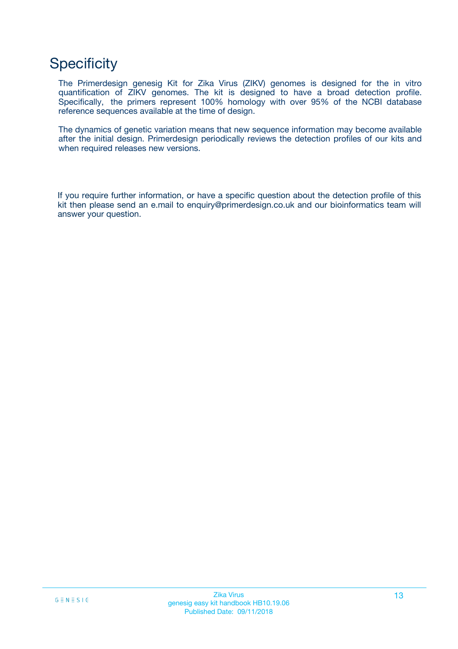## **Specificity**

The Primerdesign genesig Kit for Zika Virus (ZIKV) genomes is designed for the in vitro quantification of ZIKV genomes. The kit is designed to have a broad detection profile. Specifically, the primers represent 100% homology with over 95% of the NCBI database reference sequences available at the time of design.

The dynamics of genetic variation means that new sequence information may become available after the initial design. Primerdesign periodically reviews the detection profiles of our kits and when required releases new versions.

If you require further information, or have a specific question about the detection profile of this kit then please send an e.mail to enquiry@primerdesign.co.uk and our bioinformatics team will answer your question.